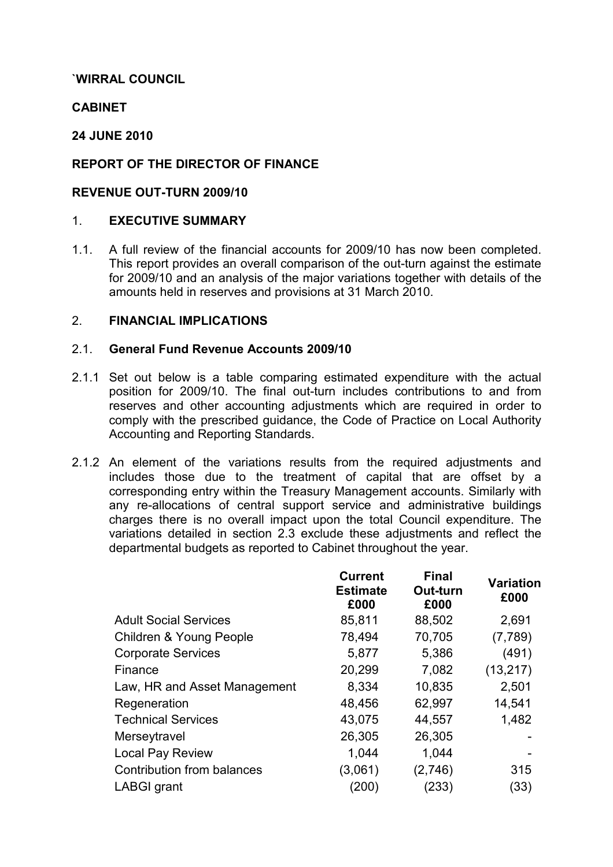# `WIRRAL COUNCIL

# **CABINET**

# 24 JUNE 2010

# REPORT OF THE DIRECTOR OF FINANCE

## REVENUE OUT-TURN 2009/10

## 1. EXECUTIVE SUMMARY

1.1. A full review of the financial accounts for 2009/10 has now been completed. This report provides an overall comparison of the out-turn against the estimate for 2009/10 and an analysis of the major variations together with details of the amounts held in reserves and provisions at 31 March 2010.

## 2. FINANCIAL IMPLICATIONS

## 2.1. General Fund Revenue Accounts 2009/10

- 2.1.1 Set out below is a table comparing estimated expenditure with the actual position for 2009/10. The final out-turn includes contributions to and from reserves and other accounting adjustments which are required in order to comply with the prescribed guidance, the Code of Practice on Local Authority Accounting and Reporting Standards.
- 2.1.2 An element of the variations results from the required adjustments and includes those due to the treatment of capital that are offset by a corresponding entry within the Treasury Management accounts. Similarly with any re-allocations of central support service and administrative buildings charges there is no overall impact upon the total Council expenditure. The variations detailed in section 2.3 exclude these adjustments and reflect the departmental budgets as reported to Cabinet throughout the year.

| <b>Current</b><br><b>Estimate</b><br>£000 | <b>Final</b><br>Out-turn<br>£000 | <b>Variation</b><br>£000 |
|-------------------------------------------|----------------------------------|--------------------------|
| 85,811                                    | 88,502                           | 2,691                    |
| 78,494                                    | 70,705                           | (7,789)                  |
| 5,877                                     | 5,386                            | (491)                    |
| 20,299                                    | 7,082                            | (13, 217)                |
| 8,334                                     | 10,835                           | 2,501                    |
| 48,456                                    | 62,997                           | 14,541                   |
| 43,075                                    | 44,557                           | 1,482                    |
| 26,305                                    | 26,305                           |                          |
| 1,044                                     | 1,044                            |                          |
| (3,061)                                   | (2,746)                          | 315                      |
| (200)                                     | (233)                            | (33)                     |
|                                           |                                  |                          |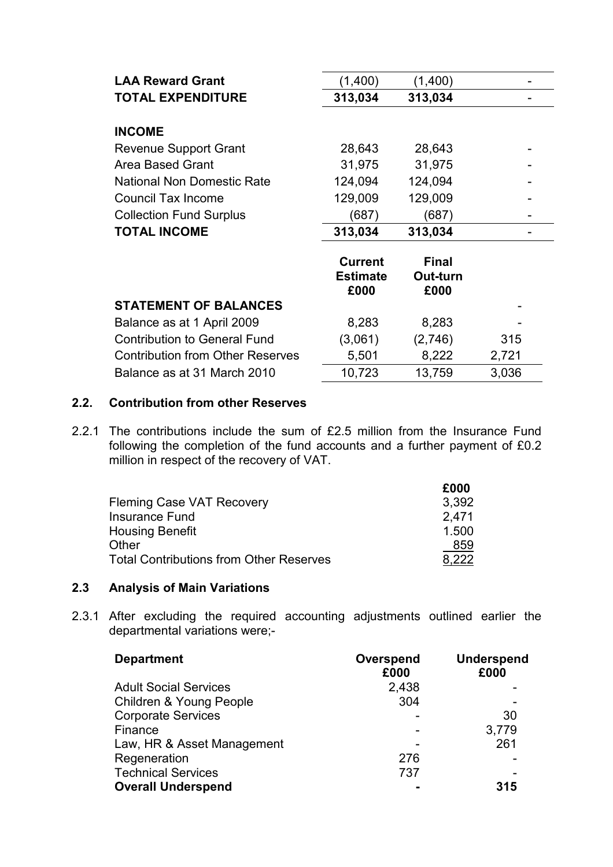| <b>LAA Reward Grant</b>                 | (1,400)                                   | (1,400)                          |       |
|-----------------------------------------|-------------------------------------------|----------------------------------|-------|
| <b>TOTAL EXPENDITURE</b>                | 313,034                                   | 313,034                          |       |
| <b>INCOME</b>                           |                                           |                                  |       |
| <b>Revenue Support Grant</b>            | 28,643                                    | 28,643                           |       |
| Area Based Grant                        | 31,975                                    | 31,975                           |       |
| <b>National Non Domestic Rate</b>       | 124,094                                   | 124,094                          |       |
| <b>Council Tax Income</b>               | 129,009                                   | 129,009                          |       |
| <b>Collection Fund Surplus</b>          | (687)                                     | (687)                            |       |
|                                         |                                           |                                  |       |
| <b>TOTAL INCOME</b>                     | 313,034                                   | 313,034                          |       |
|                                         | <b>Current</b><br><b>Estimate</b><br>£000 | <b>Final</b><br>Out-turn<br>£000 |       |
| <b>STATEMENT OF BALANCES</b>            |                                           |                                  |       |
| Balance as at 1 April 2009              | 8,283                                     | 8,283                            |       |
| <b>Contribution to General Fund</b>     | (3,061)                                   | (2,746)                          | 315   |
| <b>Contribution from Other Reserves</b> | 5,501                                     | 8,222                            | 2,721 |

# 2.2. Contribution from other Reserves

2.2.1 The contributions include the sum of £2.5 million from the Insurance Fund following the completion of the fund accounts and a further payment of £0.2 million in respect of the recovery of VAT.

| £000  |
|-------|
| 3,392 |
| 2.471 |
| 1.500 |
| 859   |
| つつつ   |
|       |

## 2.3 Analysis of Main Variations

2.3.1 After excluding the required accounting adjustments outlined earlier the departmental variations were;-

| <b>Department</b>            | Overspend<br>£000 | <b>Underspend</b><br>£000 |
|------------------------------|-------------------|---------------------------|
| <b>Adult Social Services</b> | 2,438             |                           |
| Children & Young People      | 304               |                           |
| <b>Corporate Services</b>    |                   | 30                        |
| Finance                      |                   | 3,779                     |
| Law, HR & Asset Management   |                   | 261                       |
| Regeneration                 | 276               |                           |
| <b>Technical Services</b>    | 737               |                           |
| <b>Overall Underspend</b>    |                   | 315                       |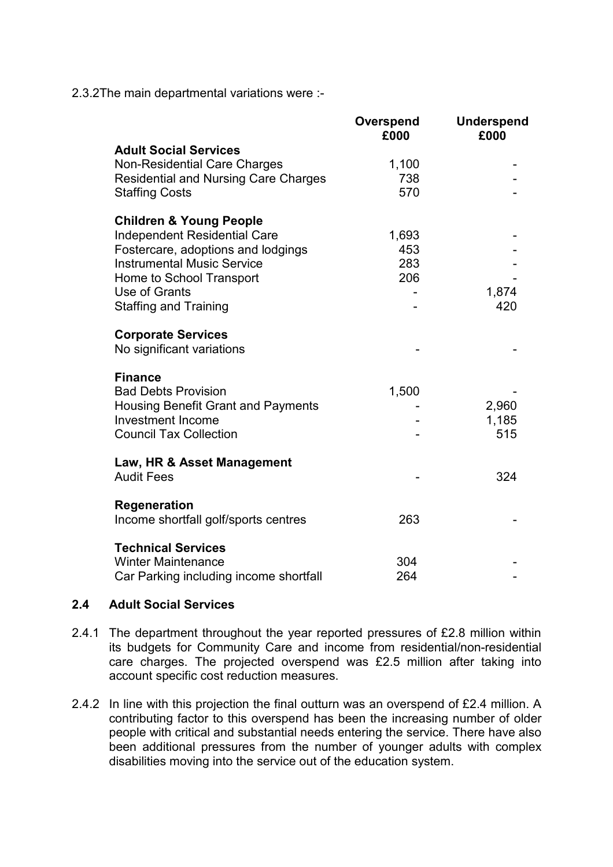2.3.2The main departmental variations were :-

|                                                                                                                                                                                                                                   | Overspend<br>£000          | <b>Underspend</b><br>£000 |
|-----------------------------------------------------------------------------------------------------------------------------------------------------------------------------------------------------------------------------------|----------------------------|---------------------------|
| <b>Adult Social Services</b><br><b>Non-Residential Care Charges</b><br><b>Residential and Nursing Care Charges</b><br><b>Staffing Costs</b>                                                                                       | 1,100<br>738<br>570        |                           |
| <b>Children &amp; Young People</b><br><b>Independent Residential Care</b><br>Fostercare, adoptions and lodgings<br><b>Instrumental Music Service</b><br>Home to School Transport<br>Use of Grants<br><b>Staffing and Training</b> | 1,693<br>453<br>283<br>206 | 1,874<br>420              |
| <b>Corporate Services</b><br>No significant variations                                                                                                                                                                            |                            |                           |
| <b>Finance</b><br><b>Bad Debts Provision</b><br><b>Housing Benefit Grant and Payments</b><br><b>Investment Income</b><br><b>Council Tax Collection</b>                                                                            | 1,500                      | 2,960<br>1,185<br>515     |
| Law, HR & Asset Management<br><b>Audit Fees</b>                                                                                                                                                                                   |                            | 324                       |
| <b>Regeneration</b><br>Income shortfall golf/sports centres                                                                                                                                                                       | 263                        |                           |
| <b>Technical Services</b><br><b>Winter Maintenance</b><br>Car Parking including income shortfall                                                                                                                                  | 304<br>264                 |                           |

## 2.4 Adult Social Services

- 2.4.1 The department throughout the year reported pressures of £2.8 million within its budgets for Community Care and income from residential/non-residential care charges. The projected overspend was £2.5 million after taking into account specific cost reduction measures.
- 2.4.2 In line with this projection the final outturn was an overspend of £2.4 million. A contributing factor to this overspend has been the increasing number of older people with critical and substantial needs entering the service. There have also been additional pressures from the number of younger adults with complex disabilities moving into the service out of the education system.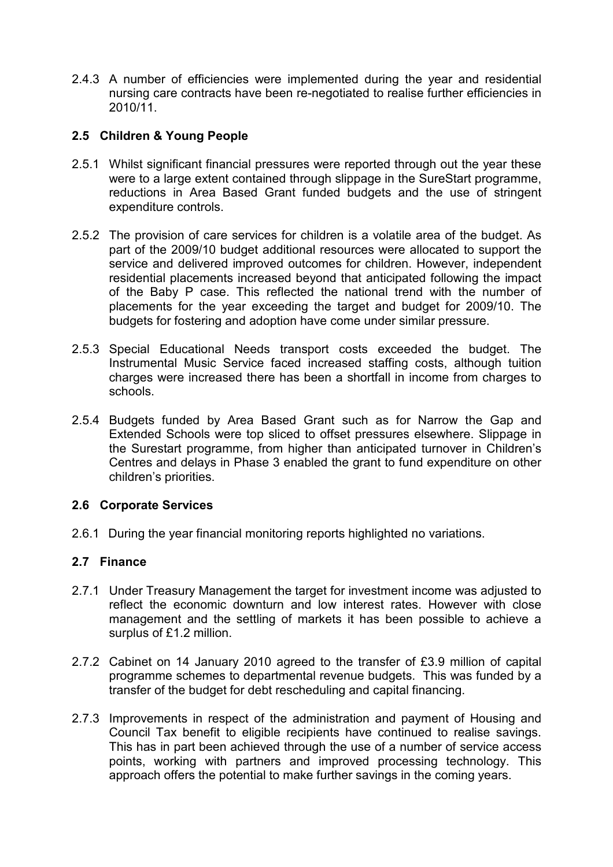2.4.3 A number of efficiencies were implemented during the year and residential nursing care contracts have been re-negotiated to realise further efficiencies in 2010/11.

# 2.5 Children & Young People

- 2.5.1 Whilst significant financial pressures were reported through out the year these were to a large extent contained through slippage in the SureStart programme, reductions in Area Based Grant funded budgets and the use of stringent expenditure controls.
- 2.5.2 The provision of care services for children is a volatile area of the budget. As part of the 2009/10 budget additional resources were allocated to support the service and delivered improved outcomes for children. However, independent residential placements increased beyond that anticipated following the impact of the Baby P case. This reflected the national trend with the number of placements for the year exceeding the target and budget for 2009/10. The budgets for fostering and adoption have come under similar pressure.
- 2.5.3 Special Educational Needs transport costs exceeded the budget. The Instrumental Music Service faced increased staffing costs, although tuition charges were increased there has been a shortfall in income from charges to schools.
- 2.5.4 Budgets funded by Area Based Grant such as for Narrow the Gap and Extended Schools were top sliced to offset pressures elsewhere. Slippage in the Surestart programme, from higher than anticipated turnover in Children's Centres and delays in Phase 3 enabled the grant to fund expenditure on other children's priorities.

## 2.6 Corporate Services

2.6.1 During the year financial monitoring reports highlighted no variations.

## 2.7 Finance

- 2.7.1 Under Treasury Management the target for investment income was adjusted to reflect the economic downturn and low interest rates. However with close management and the settling of markets it has been possible to achieve a surplus of £1.2 million.
- 2.7.2 Cabinet on 14 January 2010 agreed to the transfer of £3.9 million of capital programme schemes to departmental revenue budgets. This was funded by a transfer of the budget for debt rescheduling and capital financing.
- 2.7.3 Improvements in respect of the administration and payment of Housing and Council Tax benefit to eligible recipients have continued to realise savings. This has in part been achieved through the use of a number of service access points, working with partners and improved processing technology. This approach offers the potential to make further savings in the coming years.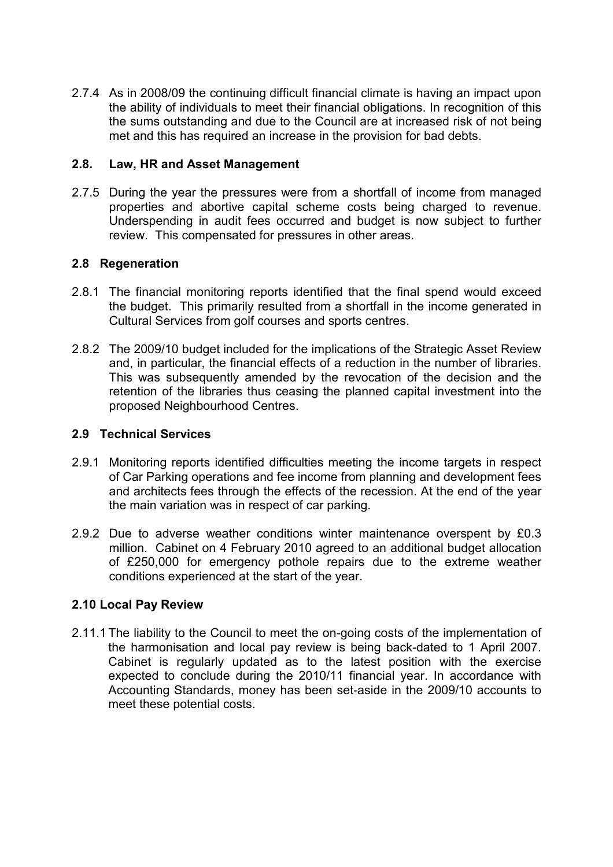2.7.4 As in 2008/09 the continuing difficult financial climate is having an impact upon the ability of individuals to meet their financial obligations. In recognition of this the sums outstanding and due to the Council are at increased risk of not being met and this has required an increase in the provision for bad debts.

## 2.8. Law, HR and Asset Management

2.7.5 During the year the pressures were from a shortfall of income from managed properties and abortive capital scheme costs being charged to revenue. Underspending in audit fees occurred and budget is now subject to further review. This compensated for pressures in other areas.

# 2.8 Regeneration

- 2.8.1 The financial monitoring reports identified that the final spend would exceed the budget. This primarily resulted from a shortfall in the income generated in Cultural Services from golf courses and sports centres.
- 2.8.2 The 2009/10 budget included for the implications of the Strategic Asset Review and, in particular, the financial effects of a reduction in the number of libraries. This was subsequently amended by the revocation of the decision and the retention of the libraries thus ceasing the planned capital investment into the proposed Neighbourhood Centres.

## 2.9 Technical Services

- 2.9.1 Monitoring reports identified difficulties meeting the income targets in respect of Car Parking operations and fee income from planning and development fees and architects fees through the effects of the recession. At the end of the year the main variation was in respect of car parking.
- 2.9.2 Due to adverse weather conditions winter maintenance overspent by £0.3 million. Cabinet on 4 February 2010 agreed to an additional budget allocation of £250,000 for emergency pothole repairs due to the extreme weather conditions experienced at the start of the year.

# 2.10 Local Pay Review

2.11.1 The liability to the Council to meet the on-going costs of the implementation of the harmonisation and local pay review is being back-dated to 1 April 2007. Cabinet is regularly updated as to the latest position with the exercise expected to conclude during the 2010/11 financial year. In accordance with Accounting Standards, money has been set-aside in the 2009/10 accounts to meet these potential costs.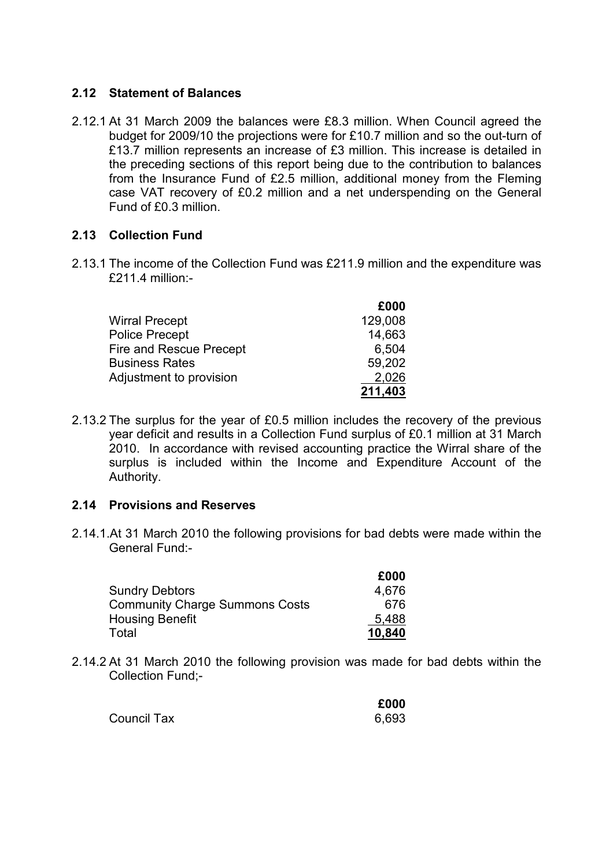# 2.12 Statement of Balances

2.12.1 At 31 March 2009 the balances were £8.3 million. When Council agreed the budget for 2009/10 the projections were for £10.7 million and so the out-turn of £13.7 million represents an increase of £3 million. This increase is detailed in the preceding sections of this report being due to the contribution to balances from the Insurance Fund of £2.5 million, additional money from the Fleming case VAT recovery of £0.2 million and a net underspending on the General Fund of £0.3 million.

# 2.13 Collection Fund

2.13.1 The income of the Collection Fund was £211.9 million and the expenditure was £211.4 million:-

|                         | £000    |
|-------------------------|---------|
| <b>Wirral Precept</b>   | 129,008 |
| <b>Police Precept</b>   | 14,663  |
| Fire and Rescue Precept | 6,504   |
| <b>Business Rates</b>   | 59,202  |
| Adjustment to provision | 2,026   |
|                         | 211,403 |

2.13.2 The surplus for the year of £0.5 million includes the recovery of the previous year deficit and results in a Collection Fund surplus of £0.1 million at 31 March 2010. In accordance with revised accounting practice the Wirral share of the surplus is included within the Income and Expenditure Account of the Authority.

## 2.14 Provisions and Reserves

2.14.1.At 31 March 2010 the following provisions for bad debts were made within the General Fund:-

|                                       | £000   |
|---------------------------------------|--------|
| <b>Sundry Debtors</b>                 | 4,676  |
| <b>Community Charge Summons Costs</b> | 676    |
| <b>Housing Benefit</b>                | 5,488  |
| Total                                 | 10,840 |

2.14.2 At 31 March 2010 the following provision was made for bad debts within the Collection Fund;-

|                    | £000  |
|--------------------|-------|
| <b>Council Tax</b> | 6,693 |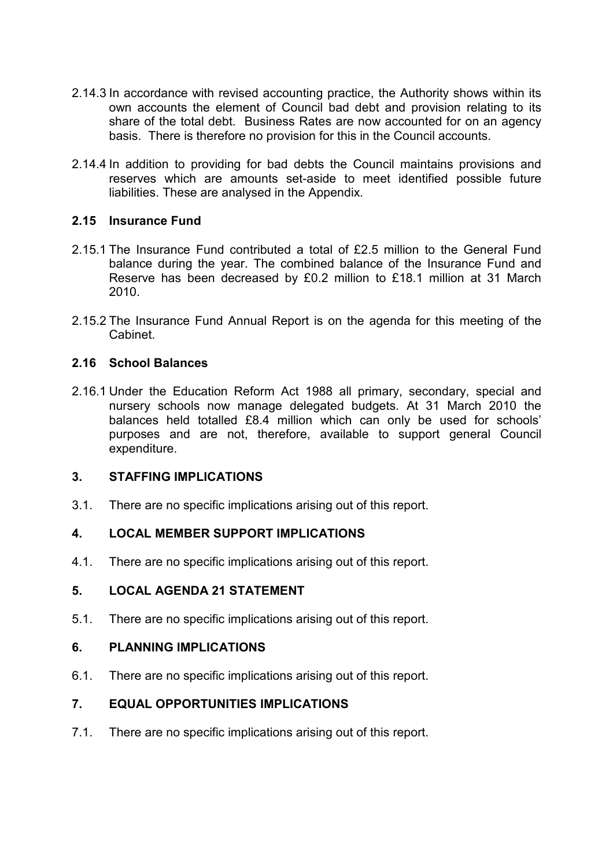- 2.14.3 In accordance with revised accounting practice, the Authority shows within its own accounts the element of Council bad debt and provision relating to its share of the total debt. Business Rates are now accounted for on an agency basis. There is therefore no provision for this in the Council accounts.
- 2.14.4 In addition to providing for bad debts the Council maintains provisions and reserves which are amounts set-aside to meet identified possible future liabilities. These are analysed in the Appendix.

# 2.15 Insurance Fund

- 2.15.1 The Insurance Fund contributed a total of £2.5 million to the General Fund balance during the year. The combined balance of the Insurance Fund and Reserve has been decreased by £0.2 million to £18.1 million at 31 March 2010.
- 2.15.2 The Insurance Fund Annual Report is on the agenda for this meeting of the Cabinet.

## 2.16 School Balances

2.16.1 Under the Education Reform Act 1988 all primary, secondary, special and nursery schools now manage delegated budgets. At 31 March 2010 the balances held totalled £8.4 million which can only be used for schools' purposes and are not, therefore, available to support general Council expenditure.

## 3. STAFFING IMPLICATIONS

3.1. There are no specific implications arising out of this report.

# 4. LOCAL MEMBER SUPPORT IMPLICATIONS

4.1. There are no specific implications arising out of this report.

# 5. LOCAL AGENDA 21 STATEMENT

5.1. There are no specific implications arising out of this report.

## 6. PLANNING IMPLICATIONS

6.1. There are no specific implications arising out of this report.

# 7. EQUAL OPPORTUNITIES IMPLICATIONS

7.1. There are no specific implications arising out of this report.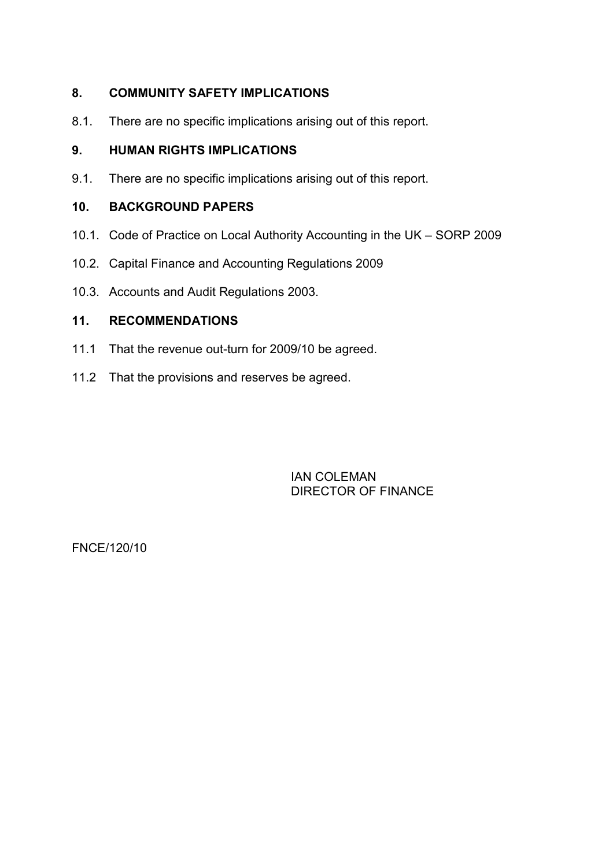# 8. COMMUNITY SAFETY IMPLICATIONS

8.1. There are no specific implications arising out of this report.

# 9. HUMAN RIGHTS IMPLICATIONS

9.1. There are no specific implications arising out of this report.

## 10. BACKGROUND PAPERS

- 10.1. Code of Practice on Local Authority Accounting in the UK SORP 2009
- 10.2. Capital Finance and Accounting Regulations 2009
- 10.3. Accounts and Audit Regulations 2003.

# 11. RECOMMENDATIONS

- 11.1 That the revenue out-turn for 2009/10 be agreed.
- 11.2 That the provisions and reserves be agreed.

 IAN COLEMAN DIRECTOR OF FINANCE

FNCE/120/10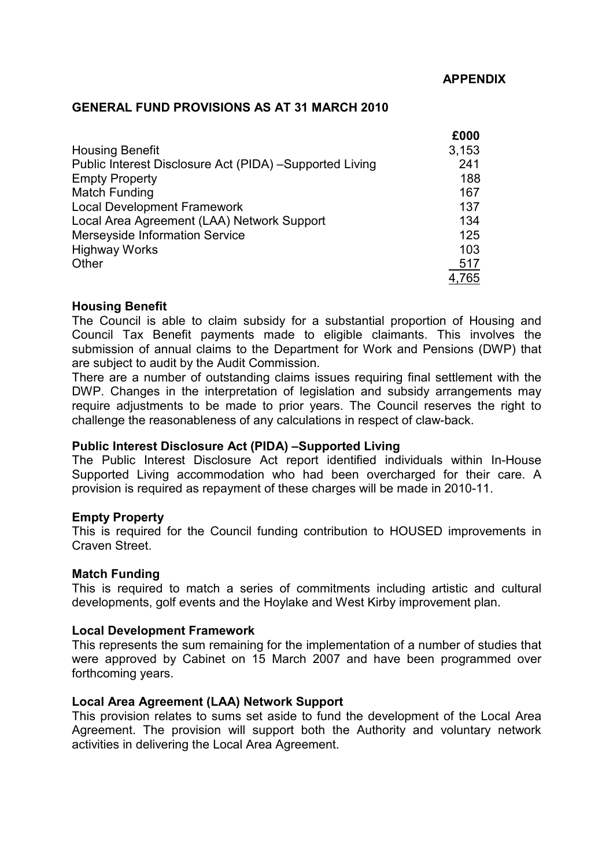### GENERAL FUND PROVISIONS AS AT 31 MARCH 2010

|                                                         | £000  |
|---------------------------------------------------------|-------|
| <b>Housing Benefit</b>                                  | 3,153 |
| Public Interest Disclosure Act (PIDA) -Supported Living | 241   |
| <b>Empty Property</b>                                   | 188   |
| Match Funding                                           | 167   |
| <b>Local Development Framework</b>                      | 137   |
| Local Area Agreement (LAA) Network Support              | 134   |
| <b>Merseyside Information Service</b>                   | 125   |
| <b>Highway Works</b>                                    | 103   |
| Other                                                   | 517   |
|                                                         | 4,765 |

### Housing Benefit

The Council is able to claim subsidy for a substantial proportion of Housing and Council Tax Benefit payments made to eligible claimants. This involves the submission of annual claims to the Department for Work and Pensions (DWP) that are subject to audit by the Audit Commission.

There are a number of outstanding claims issues requiring final settlement with the DWP. Changes in the interpretation of legislation and subsidy arrangements may require adjustments to be made to prior years. The Council reserves the right to challenge the reasonableness of any calculations in respect of claw-back.

## Public Interest Disclosure Act (PIDA) –Supported Living

The Public Interest Disclosure Act report identified individuals within In-House Supported Living accommodation who had been overcharged for their care. A provision is required as repayment of these charges will be made in 2010-11.

### Empty Property

This is required for the Council funding contribution to HOUSED improvements in Craven Street.

### Match Funding

This is required to match a series of commitments including artistic and cultural developments, golf events and the Hoylake and West Kirby improvement plan.

### Local Development Framework

This represents the sum remaining for the implementation of a number of studies that were approved by Cabinet on 15 March 2007 and have been programmed over forthcoming years.

## Local Area Agreement (LAA) Network Support

This provision relates to sums set aside to fund the development of the Local Area Agreement. The provision will support both the Authority and voluntary network activities in delivering the Local Area Agreement.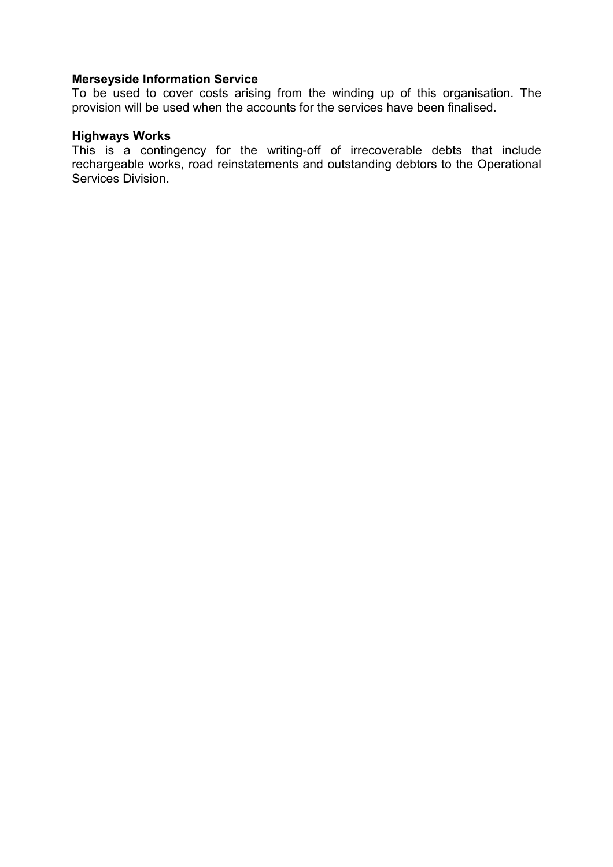### Merseyside Information Service

To be used to cover costs arising from the winding up of this organisation. The provision will be used when the accounts for the services have been finalised.

# Highways Works

This is a contingency for the writing-off of irrecoverable debts that include rechargeable works, road reinstatements and outstanding debtors to the Operational Services Division.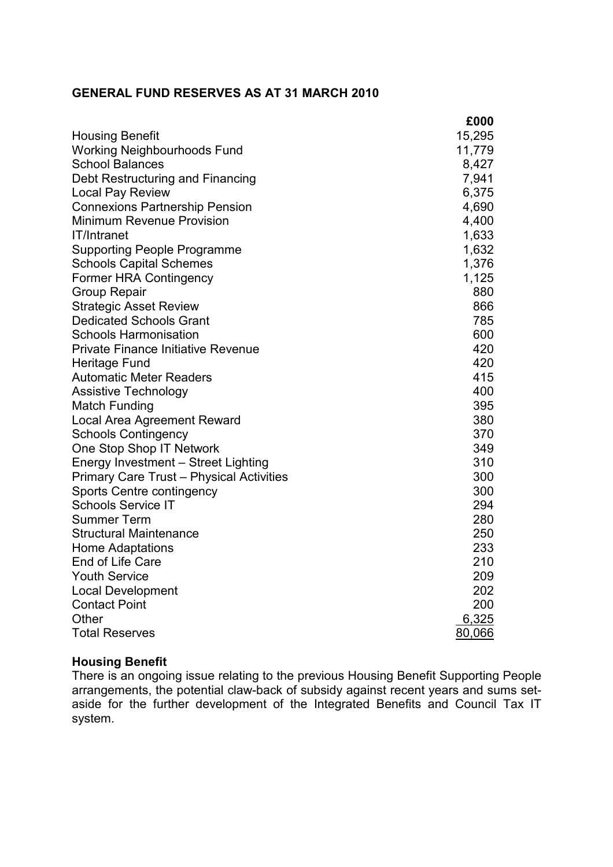# GENERAL FUND RESERVES AS AT 31 MARCH 2010

|                                                 | £000   |
|-------------------------------------------------|--------|
| <b>Housing Benefit</b>                          | 15,295 |
| <b>Working Neighbourhoods Fund</b>              | 11,779 |
| <b>School Balances</b>                          | 8,427  |
| Debt Restructuring and Financing                | 7,941  |
| Local Pay Review                                | 6,375  |
| <b>Connexions Partnership Pension</b>           | 4,690  |
| <b>Minimum Revenue Provision</b>                | 4,400  |
| IT/Intranet                                     | 1,633  |
| <b>Supporting People Programme</b>              | 1,632  |
| <b>Schools Capital Schemes</b>                  | 1,376  |
| <b>Former HRA Contingency</b>                   | 1,125  |
| <b>Group Repair</b>                             | 880    |
| <b>Strategic Asset Review</b>                   | 866    |
| <b>Dedicated Schools Grant</b>                  | 785    |
| <b>Schools Harmonisation</b>                    | 600    |
| <b>Private Finance Initiative Revenue</b>       | 420    |
| Heritage Fund                                   | 420    |
| <b>Automatic Meter Readers</b>                  | 415    |
| <b>Assistive Technology</b>                     | 400    |
| Match Funding                                   | 395    |
| Local Area Agreement Reward                     | 380    |
| <b>Schools Contingency</b>                      | 370    |
| One Stop Shop IT Network                        | 349    |
| Energy Investment - Street Lighting             | 310    |
| <b>Primary Care Trust - Physical Activities</b> | 300    |
| Sports Centre contingency                       | 300    |
| <b>Schools Service IT</b>                       | 294    |
| <b>Summer Term</b>                              | 280    |
| <b>Structural Maintenance</b>                   | 250    |
| <b>Home Adaptations</b>                         | 233    |
| End of Life Care                                | 210    |
| <b>Youth Service</b>                            | 209    |
| <b>Local Development</b>                        | 202    |
| <b>Contact Point</b>                            | 200    |
| Other                                           | 6,325  |
| <b>Total Reserves</b>                           | 80,066 |

# Housing Benefit

There is an ongoing issue relating to the previous Housing Benefit Supporting People arrangements, the potential claw-back of subsidy against recent years and sums setaside for the further development of the Integrated Benefits and Council Tax IT system.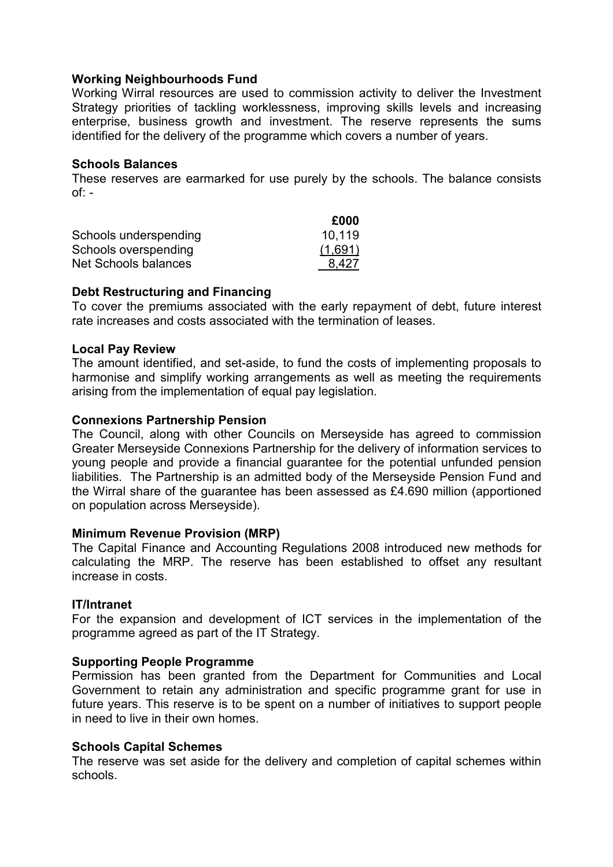### Working Neighbourhoods Fund

Working Wirral resources are used to commission activity to deliver the Investment Strategy priorities of tackling worklessness, improving skills levels and increasing enterprise, business growth and investment. The reserve represents the sums identified for the delivery of the programme which covers a number of years.

### Schools Balances

These reserves are earmarked for use purely by the schools. The balance consists  $of: -$ 

|                       | £000    |
|-----------------------|---------|
| Schools underspending | 10,119  |
| Schools overspending  | (1,691) |
| Net Schools balances  | 8,427   |

### Debt Restructuring and Financing

To cover the premiums associated with the early repayment of debt, future interest rate increases and costs associated with the termination of leases.

### Local Pay Review

The amount identified, and set-aside, to fund the costs of implementing proposals to harmonise and simplify working arrangements as well as meeting the requirements arising from the implementation of equal pay legislation.

### Connexions Partnership Pension

The Council, along with other Councils on Merseyside has agreed to commission Greater Merseyside Connexions Partnership for the delivery of information services to young people and provide a financial guarantee for the potential unfunded pension liabilities. The Partnership is an admitted body of the Merseyside Pension Fund and the Wirral share of the guarantee has been assessed as £4.690 million (apportioned on population across Merseyside).

### Minimum Revenue Provision (MRP)

The Capital Finance and Accounting Regulations 2008 introduced new methods for calculating the MRP. The reserve has been established to offset any resultant increase in costs.

### IT/Intranet

For the expansion and development of ICT services in the implementation of the programme agreed as part of the IT Strategy.

## Supporting People Programme

Permission has been granted from the Department for Communities and Local Government to retain any administration and specific programme grant for use in future years. This reserve is to be spent on a number of initiatives to support people in need to live in their own homes.

### Schools Capital Schemes

The reserve was set aside for the delivery and completion of capital schemes within schools.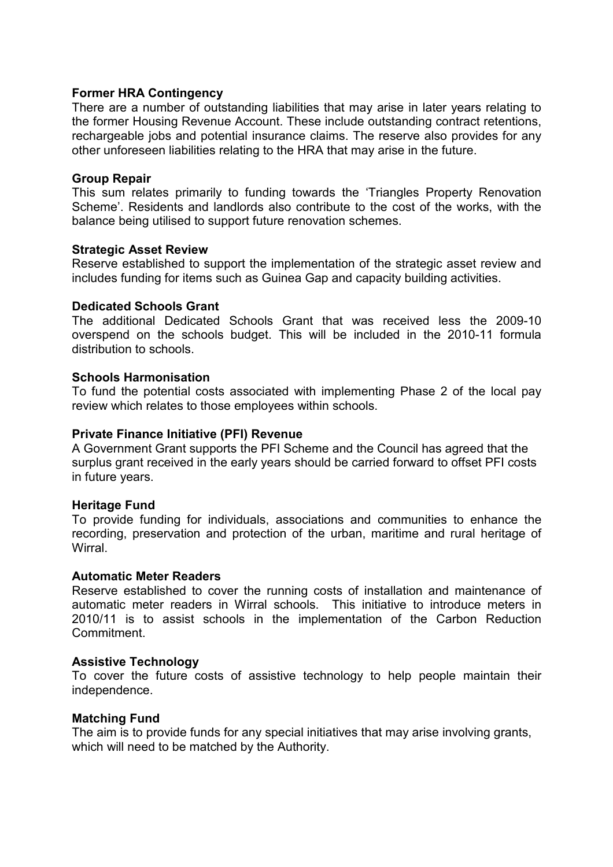### Former HRA Contingency

There are a number of outstanding liabilities that may arise in later years relating to the former Housing Revenue Account. These include outstanding contract retentions, rechargeable jobs and potential insurance claims. The reserve also provides for any other unforeseen liabilities relating to the HRA that may arise in the future.

### Group Repair

This sum relates primarily to funding towards the 'Triangles Property Renovation Scheme'. Residents and landlords also contribute to the cost of the works, with the balance being utilised to support future renovation schemes.

### Strategic Asset Review

Reserve established to support the implementation of the strategic asset review and includes funding for items such as Guinea Gap and capacity building activities.

### Dedicated Schools Grant

The additional Dedicated Schools Grant that was received less the 2009-10 overspend on the schools budget. This will be included in the 2010-11 formula distribution to schools.

### Schools Harmonisation

To fund the potential costs associated with implementing Phase 2 of the local pay review which relates to those employees within schools.

### Private Finance Initiative (PFI) Revenue

A Government Grant supports the PFI Scheme and the Council has agreed that the surplus grant received in the early years should be carried forward to offset PFI costs in future years.

### Heritage Fund

To provide funding for individuals, associations and communities to enhance the recording, preservation and protection of the urban, maritime and rural heritage of **Wirral** 

### Automatic Meter Readers

Reserve established to cover the running costs of installation and maintenance of automatic meter readers in Wirral schools. This initiative to introduce meters in 2010/11 is to assist schools in the implementation of the Carbon Reduction Commitment.

### Assistive Technology

To cover the future costs of assistive technology to help people maintain their independence.

### Matching Fund

The aim is to provide funds for any special initiatives that may arise involving grants, which will need to be matched by the Authority.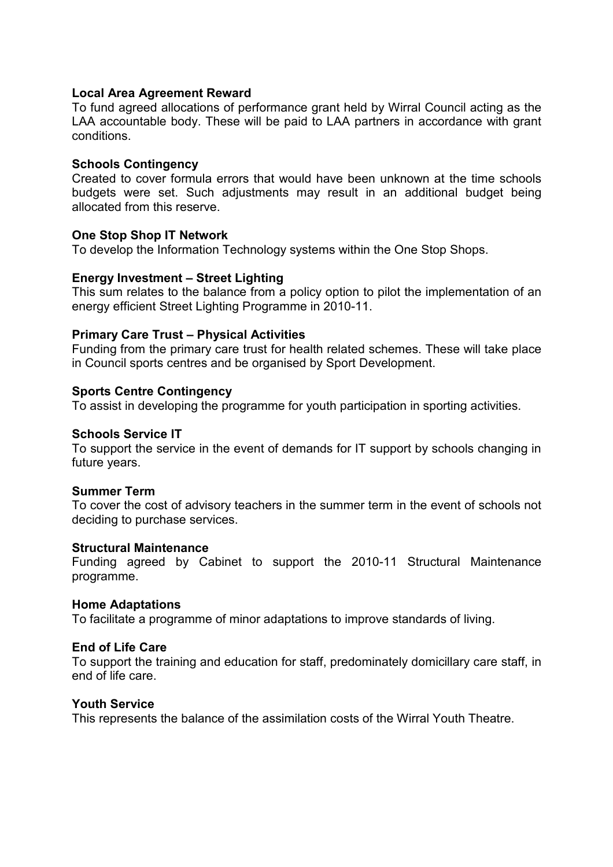### Local Area Agreement Reward

To fund agreed allocations of performance grant held by Wirral Council acting as the LAA accountable body. These will be paid to LAA partners in accordance with grant conditions.

### Schools Contingency

Created to cover formula errors that would have been unknown at the time schools budgets were set. Such adjustments may result in an additional budget being allocated from this reserve.

### One Stop Shop IT Network

To develop the Information Technology systems within the One Stop Shops.

### Energy Investment – Street Lighting

This sum relates to the balance from a policy option to pilot the implementation of an energy efficient Street Lighting Programme in 2010-11.

### Primary Care Trust – Physical Activities

Funding from the primary care trust for health related schemes. These will take place in Council sports centres and be organised by Sport Development.

### Sports Centre Contingency

To assist in developing the programme for youth participation in sporting activities.

### Schools Service IT

To support the service in the event of demands for IT support by schools changing in future years.

### Summer Term

To cover the cost of advisory teachers in the summer term in the event of schools not deciding to purchase services.

### Structural Maintenance

Funding agreed by Cabinet to support the 2010-11 Structural Maintenance programme.

### Home Adaptations

To facilitate a programme of minor adaptations to improve standards of living.

### End of Life Care

To support the training and education for staff, predominately domicillary care staff, in end of life care.

### Youth Service

This represents the balance of the assimilation costs of the Wirral Youth Theatre.